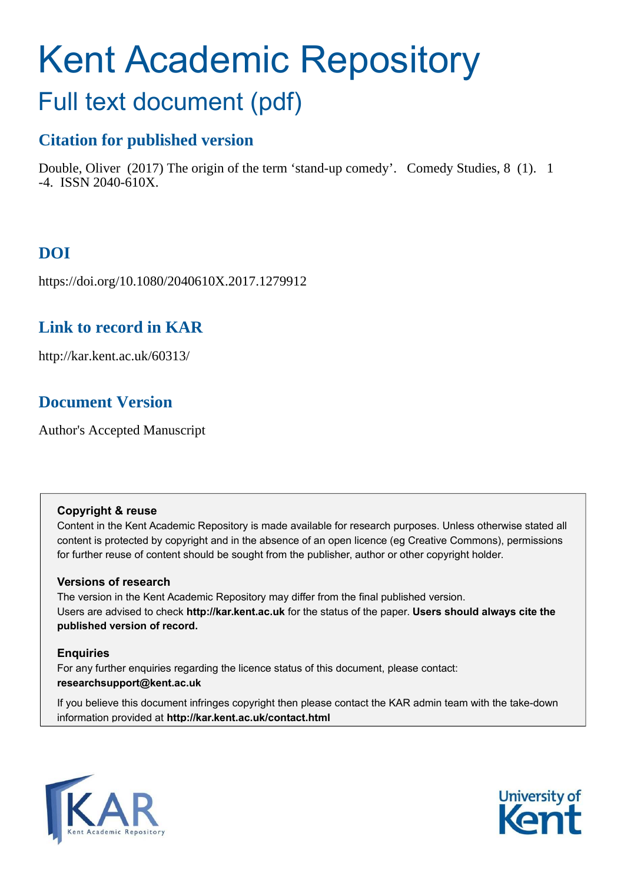# Kent Academic Repository Full text document (pdf)

## **Citation for published version**

Double, Oliver (2017) The origin of the term 'stand-up comedy'. Comedy Studies, 8 (1). 1 -4. ISSN 2040-610X.

## **DOI**

https://doi.org/10.1080/2040610X.2017.1279912

### **Link to record in KAR**

http://kar.kent.ac.uk/60313/

### **Document Version**

Author's Accepted Manuscript

#### **Copyright & reuse**

Content in the Kent Academic Repository is made available for research purposes. Unless otherwise stated all content is protected by copyright and in the absence of an open licence (eg Creative Commons), permissions for further reuse of content should be sought from the publisher, author or other copyright holder.

#### **Versions of research**

The version in the Kent Academic Repository may differ from the final published version. Users are advised to check **http://kar.kent.ac.uk** for the status of the paper. **Users should always cite the published version of record.**

#### **Enquiries**

For any further enquiries regarding the licence status of this document, please contact: **researchsupport@kent.ac.uk**

If you believe this document infringes copyright then please contact the KAR admin team with the take-down information provided at **http://kar.kent.ac.uk/contact.html**



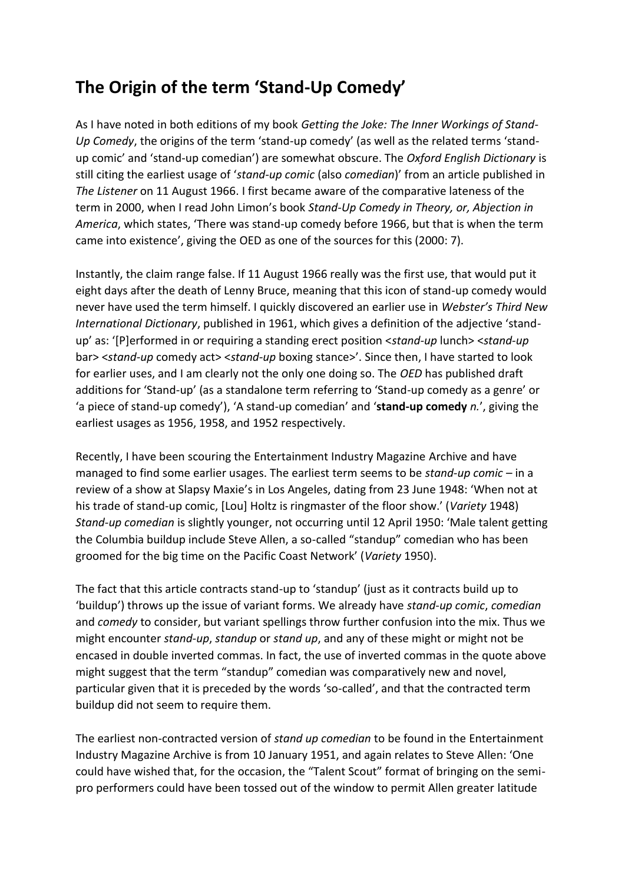## **The Origin of the term 'Stand-Up Comedy'**

As I have noted in both editions of my book *Getting the Joke: The Inner Workings of Stand-Up Comedy*, the origins of the term 'stand-up comedy' (as well as the related terms 'standup comic' and 'stand-up comedian') are somewhat obscure. The Oxford English Dictionary is still citing the earliest usage of 'stand-up comic (also comedian)' from an article published in *The Listener* on 11 August 1966. I first became aware of the comparative lateness of the term in 2000, when I read John Limon's book Stand-Up Comedy in Theory, or, Abjection in *America*, which states, 'There was stand-up comedy before 1966, but that is when the term came into existence', giving the OED as one of the sources for this (2000: 7).

Instantly, the claim range false. If 11 August 1966 really was the first use, that would put it eight days after the death of Lenny Bruce, meaning that this icon of stand-up comedy would never have used the term himself. I quickly discovered an earlier use in Webster's Third New *International Dictionary*, published in 1961, which gives a definition of the adjective 'standup' as: '[P]erformed in or requiring a standing erect position <*stand-up* lunch> <*stand-up* bar> <*stand-up* comedy act> <*stand-up* boxing stance>'. Since then, I have started to look for earlier uses, and I am clearly not the only one doing so. The *OED* has published draft additions for 'Stand-up' (as a standalone term referring to 'Stand-up comedy as a genre' or 'a piece of stand-up comedy'), 'A stand-up comedian' and 'stand-up comedy *n.'*, giving the earliest usages as 1956, 1958, and 1952 respectively.

Recently, I have been scouring the Entertainment Industry Magazine Archive and have managed to find some earlier usages. The earliest term seems to be *stand-up comic* – in a review of a show at Slapsy Maxie's in Los Angeles, dating from 23 June 1948: 'When not at his trade of stand-up comic, [Lou] Holtz is ringmaster of the floor show.' (Variety 1948) *Stand-up comedian* is slightly younger, not occurring until 12 April 1950: 'Male talent getting the Columbia buildup include Steve Allen, a so-called "standup" comedian who has been groomed for the big time on the Pacific Coast Network' (Variety 1950).

The fact that this article contracts stand-up to 'standup' (just as it contracts build up to "buildup") throws up the issue of variant forms. We already have *stand-up comic, comedian* and *comedy* to consider, but variant spellings throw further confusion into the mix. Thus we might encounter *stand-up*, *standup* or *stand up*, and any of these might or might not be encased in double inverted commas. In fact, the use of inverted commas in the quote above might suggest that the term "standup" comedian was comparatively new and novel, particular given that it is preceded by the words 'so-called', and that the contracted term buildup did not seem to require them.

The earliest non-contracted version of *stand up comedian* to be found in the Entertainment Industry Magazine Archive is from 10 January 1951, and again relates to Steve Allen: 'One could have wished that, for the occasion, the "Talent Scout" format of bringing on the semipro performers could have been tossed out of the window to permit Allen greater latitude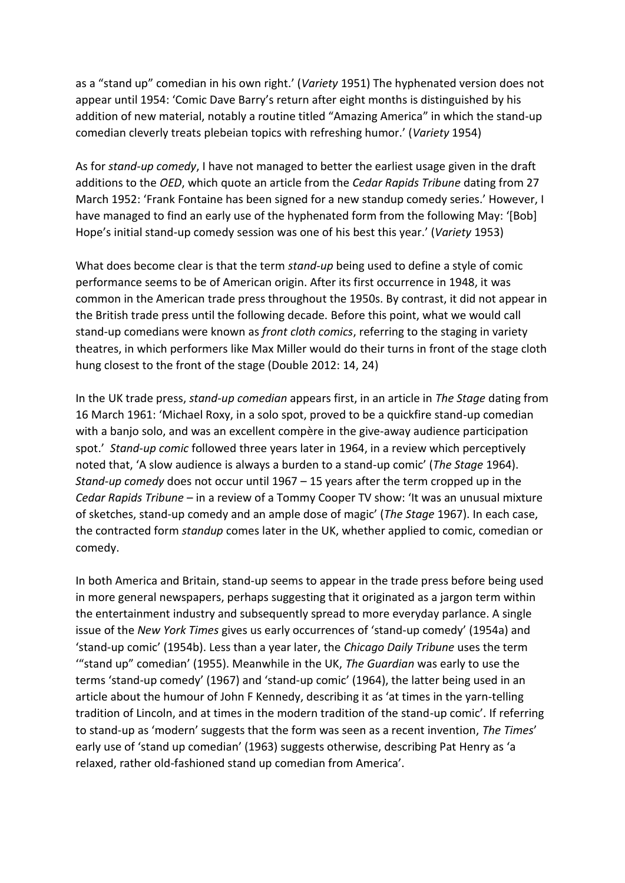as a "stand up" comedian in his own right.' (Variety 1951) The hyphenated version does not appear until 1954: 'Comic Dave Barry's return after eight months is distinguished by his addition of new material, notably a routine titled "Amazing America" in which the stand-up comedian cleverly treats plebeian topics with refreshing humor.' (Variety 1954)

As for *stand-up comedy*, I have not managed to better the earliest usage given in the draft additions to the *OED*, which quote an article from the *Cedar Rapids Tribune* dating from 27 March 1952: 'Frank Fontaine has been signed for a new standup comedy series.' However, I have managed to find an early use of the hyphenated form from the following May: '[Bob] Hope's initial stand-up comedy session was one of his best this year.' (Variety 1953)

What does become clear is that the term *stand-up* being used to define a style of comic performance seems to be of American origin. After its first occurrence in 1948, it was common in the American trade press throughout the 1950s. By contrast, it did not appear in the British trade press until the following decade. Before this point, what we would call stand-up comedians were known as *front cloth comics*, referring to the staging in variety theatres, in which performers like Max Miller would do their turns in front of the stage cloth hung closest to the front of the stage (Double 2012: 14, 24)

In the UK trade press, *stand-up comedian* appears first, in an article in *The Stage* dating from 16 March 1961: 'Michael Roxy, in a solo spot, proved to be a quickfire stand-up comedian with a banjo solo, and was an excellent compère in the give-away audience participation spot.' *Stand-up comic* followed three years later in 1964, in a review which perceptively noted that, 'A slow audience is always a burden to a stand-up comic' (The Stage 1964). *Stand-up comedy* does not occur until 1967 – 15 years after the term cropped up in the *Cedar Rapids Tribune* – in a review of a Tommy Cooper TV show: 'It was an unusual mixture of sketches, stand-up comedy and an ample dose of magic' (*The Stage* 1967). In each case, the contracted form *standup* comes later in the UK, whether applied to comic, comedian or comedy.

In both America and Britain, stand-up seems to appear in the trade press before being used in more general newspapers, perhaps suggesting that it originated as a jargon term within the entertainment industry and subsequently spread to more everyday parlance. A single issue of the *New York Times* gives us early occurrences of 'stand-up comedy' (1954a) and 'stand-up comic' (1954b). Less than a year later, the *Chicago Daily Tribune* uses the term "stand up" comedian' (1955). Meanwhile in the UK, The Guardian was early to use the terms 'stand-up comedy' (1967) and 'stand-up comic' (1964), the latter being used in an article about the humour of John F Kennedy, describing it as 'at times in the yarn-telling tradition of Lincoln, and at times in the modern tradition of the stand-up comic'. If referring to stand-up as 'modern' suggests that the form was seen as a recent invention, The Times' early use of 'stand up comedian' (1963) suggests otherwise, describing Pat Henry as 'a relaxed, rather old-fashioned stand up comedian from America'.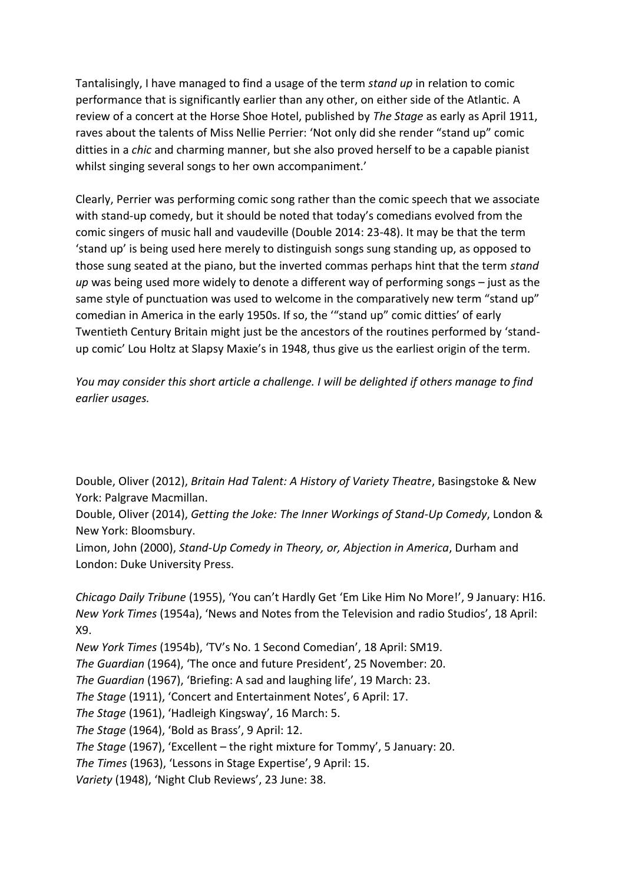Tantalisingly, I have managed to find a usage of the term *stand up* in relation to comic performance that is significantly earlier than any other, on either side of the Atlantic. A review of a concert at the Horse Shoe Hotel, published by *The Stage* as early as April 1911, raves about the talents of Miss Nellie Perrier: 'Not only did she render "stand up" comic ditties in a *chic* and charming manner, but she also proved herself to be a capable pianist whilst singing several songs to her own accompaniment.'

Clearly, Perrier was performing comic song rather than the comic speech that we associate with stand-up comedy, but it should be noted that today's comedians evolved from the comic singers of music hall and vaudeville (Double 2014: 23-48). It may be that the term 'stand up' is being used here merely to distinguish songs sung standing up, as opposed to those sung seated at the piano, but the inverted commas perhaps hint that the term *stand up* was being used more widely to denote a different way of performing songs - just as the same style of punctuation was used to welcome in the comparatively new term "stand up" comedian in America in the early 1950s. If so, the "stand up" comic ditties' of early Twentieth Century Britain might just be the ancestors of the routines performed by 'standup comic' Lou Holtz at Slapsy Maxie's in 1948, thus give us the earliest origin of the term.

*You may consider this short article a challenge. I will be delighted if others manage to find earlier usages.* 

Double, Oliver (2012), *Britain Had Talent: A History of Variety Theatre*, Basingstoke & New York: Palgrave Macmillan.

Double, Oliver (2014), *Getting the Joke: The Inner Workings of Stand-Up Comedy*, London & New York: Bloomsbury.

Limon, John (2000), *Stand-Up Comedy in Theory, or, Abjection in America*, Durham and London: Duke University Press.

*Chicago Daily Tribune* (1955), 'You can't Hardly Get 'Em Like Him No More!', 9 January: H16. *New York Times* (1954a), 'News and Notes from the Television and radio Studios', 18 April: X9.

*New York Times* (1954b), 'TV's No. 1 Second Comedian', 18 April: SM19.

*The Guardian* (1964), 'The once and future President', 25 November: 20.

*The Guardian* (1967), 'Briefing: A sad and laughing life', 19 March: 23.

*The Stage* (1911), 'Concert and Entertainment Notes', 6 April: 17.

*The Stage* (1961), 'Hadleigh Kingsway', 16 March: 5.

*The Stage* (1964), 'Bold as Brass', 9 April: 12.

*The Stage* (1967), 'Excellent – the right mixture for Tommy', 5 January: 20.

*The Times* (1963), 'Lessons in Stage Expertise', 9 April: 15.

*Variety* (1948), 'Night Club Reviews', 23 June: 38.